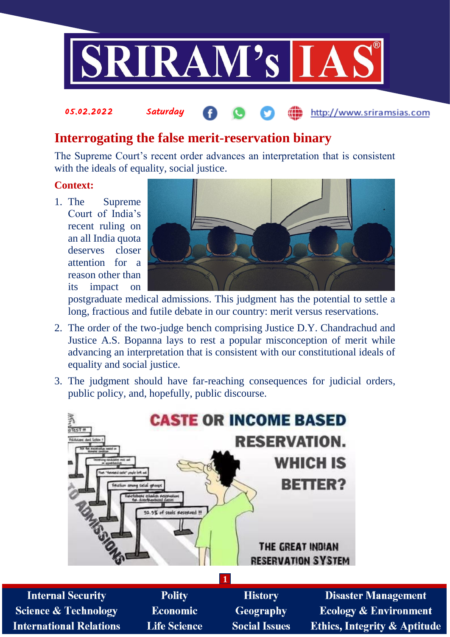

# **Interrogating the false merit-reservation binary**

The Supreme Court's recent order advances an interpretation that is consistent with the ideals of equality, social justice.

### **Context:**

1. The Supreme Court of India's recent ruling on an all India quota deserves closer attention for a reason other than its impact on

05.02.2022 Saturday



http://www.sriramsias.com

postgraduate medical admissions. This judgment has the potential to settle a long, fractious and futile debate in our country: merit versus reservations.

- 2. The order of the two-judge bench comprising Justice D.Y. Chandrachud and Justice A.S. Bopanna lays to rest a popular misconception of merit while advancing an interpretation that is consistent with our constitutional ideals of equality and social justice.
- 3. The judgment should have far-reaching consequences for judicial orders, public policy, and, hopefully, public discourse.

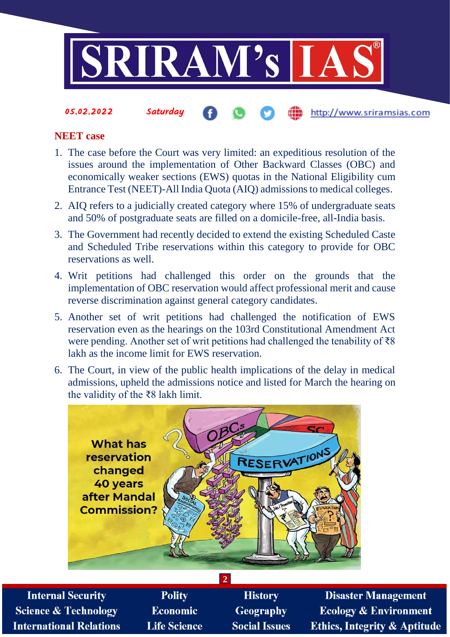

### **NEET case**

- 1. The case before the Court was very limited: an expeditious resolution of the issues around the implementation of Other Backward Classes (OBC) and economically weaker sections (EWS) quotas in the National Eligibility cum Entrance Test (NEET)-All India Quota (AIQ) admissions to medical colleges.
- 2. AIQ refers to a judicially created category where 15% of undergraduate seats and 50% of postgraduate seats are filled on a domicile-free, all-India basis.
- 3. The Government had recently decided to extend the existing Scheduled Caste and Scheduled Tribe reservations within this category to provide for OBC reservations as well.
- 4. Writ petitions had challenged this order on the grounds that the implementation of OBC reservation would affect professional merit and cause reverse discrimination against general category candidates.
- 5. Another set of writ petitions had challenged the notification of EWS reservation even as the hearings on the 103rd Constitutional Amendment Act were pending. Another set of writ petitions had challenged the tenability of ₹8 lakh as the income limit for EWS reservation.
- 6. The Court, in view of the public health implications of the delay in medical admissions, upheld the admissions notice and listed for March the hearing on the validity of the ₹8 lakh limit.



**Internal Security Science & Technology International Relations** 

**Polity Economic Life Science** 

**History Geography Social Issues** 

**Disaster Management Ecology & Environment Ethics, Integrity & Aptitude**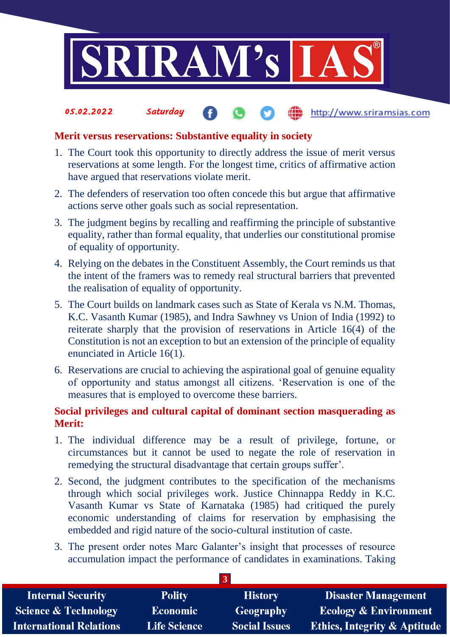

#### 05.02.2022 Saturday the http://www.sriramsias.com

# **Merit versus reservations: Substantive equality in society**

- 1. The Court took this opportunity to directly address the issue of merit versus reservations at some length. For the longest time, critics of affirmative action have argued that reservations violate merit.
- 2. The defenders of reservation too often concede this but argue that affirmative actions serve other goals such as social representation.
- 3. The judgment begins by recalling and reaffirming the principle of substantive equality, rather than formal equality, that underlies our constitutional promise of equality of opportunity.
- 4. Relying on the debates in the Constituent Assembly, the Court reminds us that the intent of the framers was to remedy real structural barriers that prevented the realisation of equality of opportunity.
- 5. The Court builds on landmark cases such as State of Kerala vs N.M. Thomas, K.C. Vasanth Kumar (1985), and Indra Sawhney vs Union of India (1992) to reiterate sharply that the provision of reservations in Article 16(4) of the Constitution is not an exception to but an extension of the principle of equality enunciated in Article 16(1).
- 6. Reservations are crucial to achieving the aspirational goal of genuine equality of opportunity and status amongst all citizens. 'Reservation is one of the measures that is employed to overcome these barriers.

# **Social privileges and cultural capital of dominant section masquerading as Merit:**

- 1. The individual difference may be a result of privilege, fortune, or circumstances but it cannot be used to negate the role of reservation in remedying the structural disadvantage that certain groups suffer'.
- 2. Second, the judgment contributes to the specification of the mechanisms through which social privileges work. Justice Chinnappa Reddy in K.C. Vasanth Kumar vs State of Karnataka (1985) had critiqued the purely economic understanding of claims for reservation by emphasising the embedded and rigid nature of the socio-cultural institution of caste.
- 3. The present order notes Marc Galanter's insight that processes of resource accumulation impact the performance of candidates in examinations. Taking

| <b>Internal Security</b>        | <b>Polity</b>       | <b>History</b>       | <b>Disaster Management</b>              |  |  |  |
|---------------------------------|---------------------|----------------------|-----------------------------------------|--|--|--|
| <b>Science &amp; Technology</b> | <b>Economic</b>     | <b>Geography</b>     | <b>Ecology &amp; Environment</b>        |  |  |  |
| <b>International Relations</b>  | <b>Life Science</b> | <b>Social Issues</b> | <b>Ethics, Integrity &amp; Aptitude</b> |  |  |  |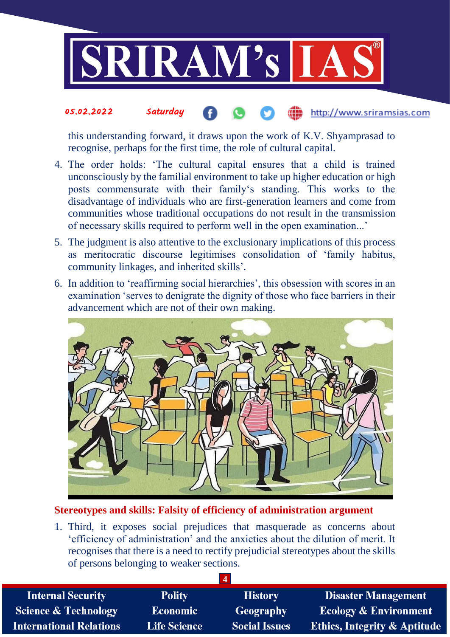

#### 05.02.2022 Saturday http://www.sriramsias.com

this understanding forward, it draws upon the work of K.V. Shyamprasad to recognise, perhaps for the first time, the role of cultural capital.

- 4. The order holds: 'The cultural capital ensures that a child is trained unconsciously by the familial environment to take up higher education or high posts commensurate with their family's standing. This works to the disadvantage of individuals who are first-generation learners and come from communities whose traditional occupations do not result in the transmission of necessary skills required to perform well in the open examination...'
- 5. The judgment is also attentive to the exclusionary implications of this process as meritocratic discourse legitimises consolidation of 'family habitus, community linkages, and inherited skills'.
- 6. In addition to 'reaffirming social hierarchies', this obsession with scores in an examination 'serves to denigrate the dignity of those who face barriers in their advancement which are not of their own making.



# **Stereotypes and skills: Falsity of efficiency of administration argument**

1. Third, it exposes social prejudices that masquerade as concerns about 'efficiency of administration' and the anxieties about the dilution of merit. It recognises that there is a need to rectify prejudicial stereotypes about the skills of persons belonging to weaker sections.

| <b>Internal Security</b>        | <b>Polity</b>       | <b>History</b>       | <b>Disaster Management</b>              |  |  |
|---------------------------------|---------------------|----------------------|-----------------------------------------|--|--|
| <b>Science &amp; Technology</b> | <b>Economic</b>     | Geography            | <b>Ecology &amp; Environment</b>        |  |  |
| <b>International Relations</b>  | <b>Life Science</b> | <b>Social Issues</b> | <b>Ethics, Integrity &amp; Aptitude</b> |  |  |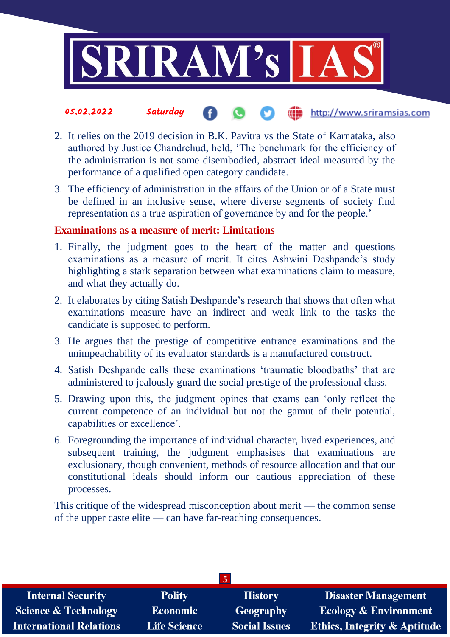

#### 05.02.2022 Saturday the http://www.sriramsias.com

- 2. It relies on the 2019 decision in B.K. Pavitra vs the State of Karnataka, also authored by Justice Chandrchud, held, 'The benchmark for the efficiency of the administration is not some disembodied, abstract ideal measured by the performance of a qualified open category candidate.
- 3. The efficiency of administration in the affairs of the Union or of a State must be defined in an inclusive sense, where diverse segments of society find representation as a true aspiration of governance by and for the people.'

# **Examinations as a measure of merit: Limitations**

- 1. Finally, the judgment goes to the heart of the matter and questions examinations as a measure of merit. It cites Ashwini Deshpande's study highlighting a stark separation between what examinations claim to measure, and what they actually do.
- 2. It elaborates by citing Satish Deshpande's research that shows that often what examinations measure have an indirect and weak link to the tasks the candidate is supposed to perform.
- 3. He argues that the prestige of competitive entrance examinations and the unimpeachability of its evaluator standards is a manufactured construct.
- 4. Satish Deshpande calls these examinations 'traumatic bloodbaths' that are administered to jealously guard the social prestige of the professional class.
- 5. Drawing upon this, the judgment opines that exams can 'only reflect the current competence of an individual but not the gamut of their potential, capabilities or excellence'.
- 6. Foregrounding the importance of individual character, lived experiences, and subsequent training, the judgment emphasises that examinations are exclusionary, though convenient, methods of resource allocation and that our constitutional ideals should inform our cautious appreciation of these processes.

This critique of the widespread misconception about merit — the common sense of the upper caste elite — can have far-reaching consequences.

| <b>Internal Security</b>        | <b>Polity</b>       | <b>History</b>       | <b>Disaster Management</b>              |  |  |  |
|---------------------------------|---------------------|----------------------|-----------------------------------------|--|--|--|
| <b>Science &amp; Technology</b> | Economic            | Geography            | <b>Ecology &amp; Environment</b>        |  |  |  |
| <b>International Relations</b>  | <b>Life Science</b> | <b>Social Issues</b> | <b>Ethics, Integrity &amp; Aptitude</b> |  |  |  |